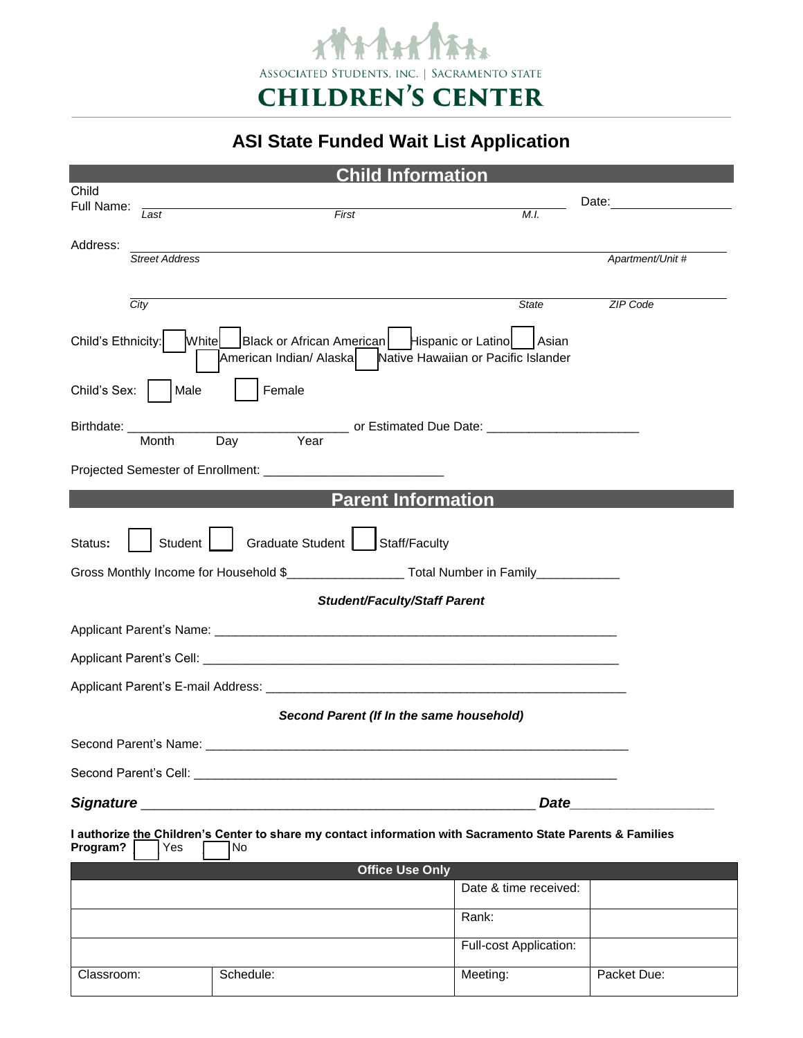

## **ASI State Funded Wait List Application**

| <b>Child Information</b>                                                                                                                                 |                       |           |                        |                  |
|----------------------------------------------------------------------------------------------------------------------------------------------------------|-----------------------|-----------|------------------------|------------------|
| Child<br>Full Name:                                                                                                                                      |                       |           |                        | Date:            |
|                                                                                                                                                          | Last                  | First     | M.I.                   |                  |
| Address:                                                                                                                                                 | <b>Street Address</b> |           |                        | Apartment/Unit # |
|                                                                                                                                                          |                       |           |                        |                  |
| City                                                                                                                                                     |                       |           | State                  | <b>ZIP Code</b>  |
| Child's Ethnicity:<br>Black or African American   Hispanic or Latino<br>White<br>Asian<br>American Indian/ Alaska<br>Native Hawaiian or Pacific Islander |                       |           |                        |                  |
| Child's Sex:<br>Female<br>Male                                                                                                                           |                       |           |                        |                  |
| Birthdate: _<br>Month<br>Day<br>Year                                                                                                                     |                       |           |                        |                  |
|                                                                                                                                                          |                       |           |                        |                  |
| <b>Parent Information</b>                                                                                                                                |                       |           |                        |                  |
| Graduate Student<br><b>Student</b><br>Staff/Faculty<br>Status:                                                                                           |                       |           |                        |                  |
| Gross Monthly Income for Household \$___________________________ Total Number in Family_____________                                                     |                       |           |                        |                  |
| <b>Student/Faculty/Staff Parent</b>                                                                                                                      |                       |           |                        |                  |
|                                                                                                                                                          |                       |           |                        |                  |
|                                                                                                                                                          |                       |           |                        |                  |
|                                                                                                                                                          |                       |           |                        |                  |
| Second Parent (If In the same household)                                                                                                                 |                       |           |                        |                  |
| Second Parent's Name:                                                                                                                                    |                       |           |                        |                  |
| Second Parent's Cell: <b>Example 2018</b> Second Parent's Cell:                                                                                          |                       |           |                        |                  |
| <b>Date Date <i>Contract <b>CONS</b></i></b>                                                                                                             |                       |           |                        |                  |
| I authorize the Children's Center to share my contact information with Sacramento State Parents & Families<br>Program?<br>Yes<br>N <sub>o</sub>          |                       |           |                        |                  |
| <b>Office Use Only</b>                                                                                                                                   |                       |           |                        |                  |
|                                                                                                                                                          |                       |           | Date & time received:  |                  |
|                                                                                                                                                          |                       |           | Rank:                  |                  |
|                                                                                                                                                          |                       |           | Full-cost Application: |                  |
| Classroom:                                                                                                                                               |                       | Schedule: | Meeting:               | Packet Due:      |